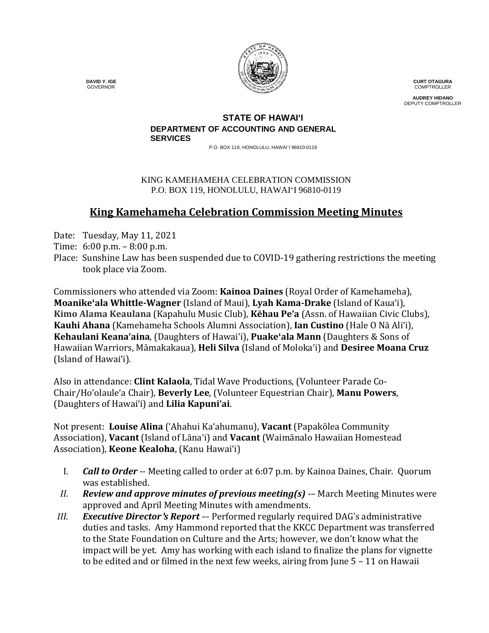

**CURT OTAGURA** COMPTROLLER

**AUDREY HIDANO** DEPUTY COMPTROLLER

#### **STATE OF HAWAI'I DEPARTMENT OF ACCOUNTING AND GENERAL SERVICES**

P.O. BOX 119, HONOLULU, HAWAI`I 96810-0119

### KING KAMEHAMEHA CELEBRATION COMMISSION P.O. BOX 119, HONOLULU, HAWAIʻI 96810-0119

# **King Kamehameha Celebration Commission Meeting Minutes**

Date: Tuesday, May 11, 2021

- Time: 6:00 p.m. 8:00 p.m.
- Place: Sunshine Law has been suspended due to COVID-19 gathering restrictions the meeting took place via Zoom.

Commissioners who attended via Zoom: **Kainoa Daines** (Royal Order of Kamehameha), **Moanike'ala Whittle-Wagner** (Island of Maui), **Lyah Kama-Drake** (Island of Kaua'i), **Kimo Alama Keaulana** (Kapahulu Music Club), **Kēhau Pe'a** (Assn. of Hawaiian Civic Clubs), **Kauhi Ahana** (Kamehameha Schools Alumni Association), **Ian Custino** (Hale O Nā Ali'i), **Kehaulani Keana'aina**, (Daughters of Hawai'i), **Puake'ala Mann** (Daughters & Sons of Hawaiian Warriors, Māmakakaua), **Heli Silva** (Island of Molokaʻi) and **Desiree Moana Cruz** (Island of Hawai'i).

Also in attendance: **Clint Kalaola**, Tidal Wave Productions, (Volunteer Parade Co-Chair/Ho'olaule'a Chair), **Beverly Lee**, (Volunteer Equestrian Chair), **Manu Powers**, (Daughters of Hawaiʻi) and **Lilia Kapuniʻai**.

Not present: **Louise Alina** ('Ahahui Kaʻahumanu), **Vacant** (Papakōlea Community Association), **Vacant** (Island of Lāna'i) and **Vacant** (Waimānalo Hawaiian Homestead Association), **Keone Kealoha**, (Kanu Hawaiʻi)

- I. *Call to Order* -- Meeting called to order at 6:07 p.m. by Kainoa Daines, Chair. Quorum was established.
- *II. Review and approve minutes of previous meeting(s)* -– March Meeting Minutes were approved and April Meeting Minutes with amendments.
- *III. Executive Director*'*s Report* –- Performed regularly required DAG's administrative duties and tasks. Amy Hammond reported that the KKCC Department was transferred to the State Foundation on Culture and the Arts; however, we don't know what the impact will be yet. Amy has working with each island to finalize the plans for vignette to be edited and or filmed in the next few weeks, airing from June 5 – 11 on Hawaii

 **DAVID Y. IGE** GOVERNOR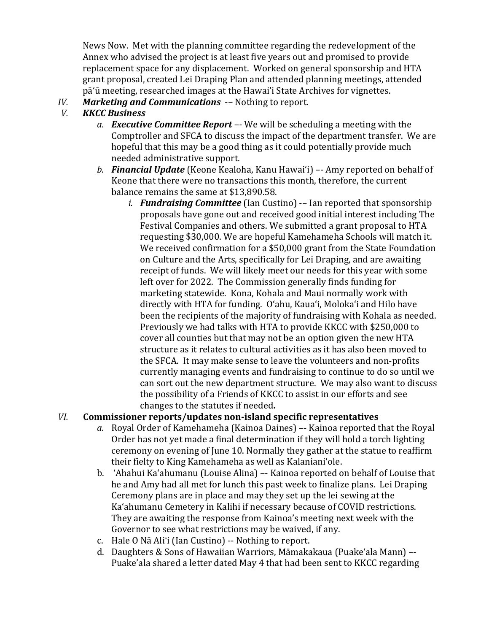News Now. Met with the planning committee regarding the redevelopment of the Annex who advised the project is at least five years out and promised to provide replacement space for any displacement. Worked on general sponsorship and HTA grant proposal, created Lei Draping Plan and attended planning meetings, attended pāʻū meeting, researched images at the Hawai'i State Archives for vignettes.

*IV. Marketing and Communications* -- Nothing to report.<br>*V. KKCC Business* 

## *V. KKCC Business*

- *a. Executive Committee Report –-* We will be scheduling a meeting with the Comptroller and SFCA to discuss the impact of the department transfer. We are hopeful that this may be a good thing as it could potentially provide much needed administrative support.
- *b. Financial Update* (Keone Kealoha, Kanu Hawaiʻi) –- Amy reported on behalf of Keone that there were no transactions this month, therefore, the current balance remains the same at \$13,890.58.
	- *i. Fundraising Committee* (Ian Custino) -– Ian reported that sponsorship proposals have gone out and received good initial interest including The Festival Companies and others. We submitted a grant proposal to HTA requesting \$30,000. We are hopeful Kamehameha Schools will match it. We received confirmation for a \$50,000 grant from the State Foundation on Culture and the Arts, specifically for Lei Draping, and are awaiting receipt of funds. We will likely meet our needs for this year with some left over for 2022. The Commission generally finds funding for marketing statewide. Kona, Kohala and Maui normally work with directly with HTA for funding. Oʻahu, Kauaʻi, Molokaʻi and Hilo have been the recipients of the majority of fundraising with Kohala as needed. Previously we had talks with HTA to provide KKCC with \$250,000 to cover all counties but that may not be an option given the new HTA structure as it relates to cultural activities as it has also been moved to the SFCA. It may make sense to leave the volunteers and non-profits currently managing events and fundraising to continue to do so until we can sort out the new department structure. We may also want to discuss the possibility of a Friends of KKCC to assist in our efforts and see changes to the statutes if needed**.**

### *VI.* **Commissioner reports/updates non-island specific representatives**

- *a.* Royal Order of Kamehameha (Kainoa Daines) –- Kainoa reported that the Royal Order has not yet made a final determination if they will hold a torch lighting ceremony on evening of June 10. Normally they gather at the statue to reaffirm their fielty to King Kamehameha as well as Kalanianiʻole.
- b. 'Ahahui Ka'ahumanu (Louise Alina) –- Kainoa reported on behalf of Louise that he and Amy had all met for lunch this past week to finalize plans. Lei Draping Ceremony plans are in place and may they set up the lei sewing at the Kaʻahumanu Cemetery in Kalihi if necessary because of COVID restrictions. They are awaiting the response from Kainoa's meeting next week with the Governor to see what restrictions may be waived, if any.
- c. Hale O Nā Ali'i (Ian Custino) -- Nothing to report.
- d. Daughters & Sons of Hawaiian Warriors, Māmakakaua (Puake'ala Mann) –- Puake'ala shared a letter dated May 4 that had been sent to KKCC regarding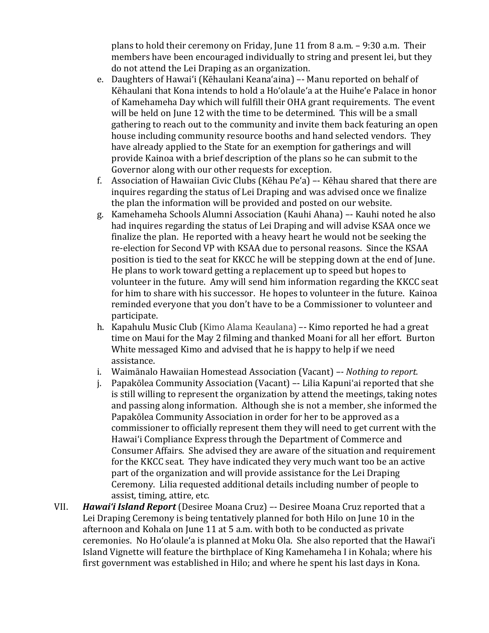plans to hold their ceremony on Friday, June 11 from 8 a.m. – 9:30 a.m. Their members have been encouraged individually to string and present lei, but they do not attend the Lei Draping as an organization.

- e. Daughters of Hawai'i (Kēhaulani Keana'aina) –- Manu reported on behalf of Kēhaulani that Kona intends to hold a Hoʻolauleʻa at the Huiheʻe Palace in honor of Kamehameha Day which will fulfill their OHA grant requirements. The event will be held on June 12 with the time to be determined. This will be a small gathering to reach out to the community and invite them back featuring an open house including community resource booths and hand selected vendors. They have already applied to the State for an exemption for gatherings and will provide Kainoa with a brief description of the plans so he can submit to the Governor along with our other requests for exception.
- f. Association of Hawaiian Civic Clubs (Kēhau Peʻa) –- Kēhau shared that there are inquires regarding the status of Lei Draping and was advised once we finalize the plan the information will be provided and posted on our website.
- g. Kamehameha Schools Alumni Association (Kauhi Ahana) –- Kauhi noted he also had inquires regarding the status of Lei Draping and will advise KSAA once we finalize the plan. He reported with a heavy heart he would not be seeking the re-election for Second VP with KSAA due to personal reasons. Since the KSAA position is tied to the seat for KKCC he will be stepping down at the end of June. He plans to work toward getting a replacement up to speed but hopes to volunteer in the future. Amy will send him information regarding the KKCC seat for him to share with his successor. He hopes to volunteer in the future. Kainoa reminded everyone that you don't have to be a Commissioner to volunteer and participate.
- h. Kapahulu Music Club (Kimo Alama Keaulana) –- Kimo reported he had a great time on Maui for the May 2 filming and thanked Moani for all her effort. Burton White messaged Kimo and advised that he is happy to help if we need assistance.
- i. Waimānalo Hawaiian Homestead Association (Vacant) *–- Nothing to report.*
- j. Papakōlea Community Association (Vacant) –- Lilia Kapuni'ai reported that she is still willing to represent the organization by attend the meetings, taking notes and passing along information. Although she is not a member, she informed the Papakōlea Community Association in order for her to be approved as a commissioner to officially represent them they will need to get current with the Hawaiʻi Compliance Express through the Department of Commerce and Consumer Affairs. She advised they are aware of the situation and requirement for the KKCC seat. They have indicated they very much want too be an active part of the organization and will provide assistance for the Lei Draping Ceremony. Lilia requested additional details including number of people to assist, timing, attire, etc.
- VII. *Hawaiʻi Island Report* (Desiree Moana Cruz) –- Desiree Moana Cruz reported that a Lei Draping Ceremony is being tentatively planned for both Hilo on June 10 in the afternoon and Kohala on June 11 at 5 a.m. with both to be conducted as private ceremonies. No Hoʻolauleʻa is planned at Moku Ola. She also reported that the Hawaiʻi Island Vignette will feature the birthplace of King Kamehameha I in Kohala; where his first government was established in Hilo; and where he spent his last days in Kona.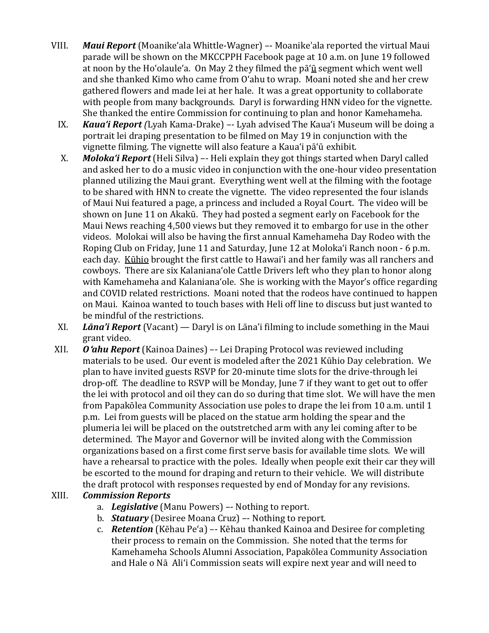- VIII. *Maui Report* (Moanikeʻala Whittle-Wagner) –- Moanike'ala reported the virtual Maui parade will be shown on the MKCCPPH Facebook page at 10 a.m. on June 19 followed at noon by the Hoʻolauleʻa. On May 2 they filmed the pāʻū segment which went well and she thanked Kimo who came from Oʻahu to wrap. Moani noted she and her crew gathered flowers and made lei at her hale. It was a great opportunity to collaborate with people from many backgrounds. Daryl is forwarding HNN video for the vignette. She thanked the entire Commission for continuing to plan and honor Kamehameha.
	- IX. *Kauaʻi Report (*Lyah Kama-Drake) *–-* Lyah advised The Kauaʻi Museum will be doing a portrait lei draping presentation to be filmed on May 19 in conjunction with the vignette filming. The vignette will also feature a Kauaʻi pāʻū exhibit.
	- X. *Molokaʻi Report* (Heli Silva) –- Heli explain they got things started when Daryl called and asked her to do a music video in conjunction with the one-hour video presentation planned utilizing the Maui grant. Everything went well at the filming with the footage to be shared with HNN to create the vignette. The video represented the four islands of Maui Nui featured a page, a princess and included a Royal Court. The video will be shown on June 11 on Akakū. They had posted a segment early on Facebook for the Maui News reaching 4,500 views but they removed it to embargo for use in the other videos. Molokai will also be having the first annual Kamehameha Day Rodeo with the Roping Club on Friday, June 11 and Saturday, June 12 at Molokaʻi Ranch noon - 6 p.m. each day. Kūhio brought the first cattle to Hawaiʻi and her family was all ranchers and cowboys. There are six Kalanianaʻole Cattle Drivers left who they plan to honor along with Kamehameha and Kalanianaʻole. She is working with the Mayor's office regarding and COVID related restrictions. Moani noted that the rodeos have continued to happen on Maui. Kainoa wanted to touch bases with Heli off line to discuss but just wanted to be mindful of the restrictions.
	- XI. *Lāna'i Report* (Vacant) Daryl is on Lāna'i filming to include something in the Maui grant video.
- XII. *O*'*ahu Report* (Kainoa Daines) –- Lei Draping Protocol was reviewed including materials to be used. Our event is modeled after the 2021 Kūhio Day celebration. We plan to have invited guests RSVP for 20-minute time slots for the drive-through lei drop-off. The deadline to RSVP will be Monday, June 7 if they want to get out to offer the lei with protocol and oil they can do so during that time slot. We will have the men from Papakōlea Community Association use poles to drape the lei from 10 a.m. until 1 p.m. Lei from guests will be placed on the statue arm holding the spear and the plumeria lei will be placed on the outstretched arm with any lei coming after to be determined. The Mayor and Governor will be invited along with the Commission organizations based on a first come first serve basis for available time slots. We will have a rehearsal to practice with the poles. Ideally when people exit their car they will be escorted to the mound for draping and return to their vehicle. We will distribute the draft protocol with responses requested by end of Monday for any revisions.

### XIII. *Commission Reports*

- a. *Legislative* (Manu Powers) –- Nothing to report.
- b. *Statuary* (Desiree Moana Cruz) –- Nothing to report.
- c. *Retention* (Kēhau Pe'a) –- Kēhau thanked Kainoa and Desiree for completing their process to remain on the Commission. She noted that the terms for Kamehameha Schools Alumni Association, Papakōlea Community Association and Hale o Nā Aliʻi Commission seats will expire next year and will need to